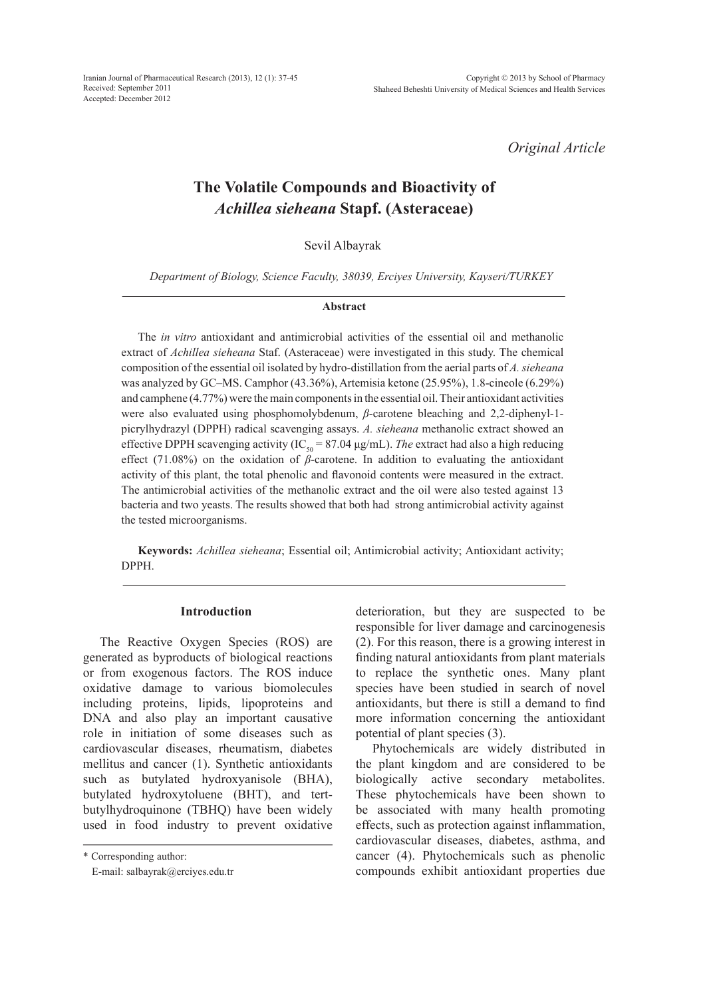Iranian Journal of Pharmaceutical Research (2013), 12 (1): 37-45 Received: September 2011 Accepted: December 2012

*Original Article*

# **The Volatile Compounds and Bioactivity of**  *Achillea sieheana* **Stapf. (Asteraceae)**

Sevil Albayrak

*Department of Biology, Science Faculty, 38039, Erciyes University, Kayseri/TURKEY*

#### **Abstract**

The *in vitro* antioxidant and antimicrobial activities of the essential oil and methanolic extract of *Achillea sieheana* Staf. (Asteraceae) were investigated in this study. The chemical composition of the essential oil isolated by hydro-distillation from the aerial parts of *A. sieheana* was analyzed by GC–MS. Camphor (43.36%), Artemisia ketone (25.95%), 1.8-cineole (6.29%) and camphene (4.77%) were the main components in the essential oil. Their antioxidant activities were also evaluated using phosphomolybdenum, *β*-carotene bleaching and 2,2-diphenyl-1 picrylhydrazyl (DPPH) radical scavenging assays. *A. sieheana* methanolic extract showed an effective DPPH scavenging activity (IC<sub>50</sub> = 87.04  $\mu$ g/mL). *The* extract had also a high reducing effect (71.08%) on the oxidation of *β*-carotene. In addition to evaluating the antioxidant activity of this plant, the total phenolic and flavonoid contents were measured in the extract. The antimicrobial activities of the methanolic extract and the oil were also tested against 13 bacteria and two yeasts. The results showed that both had strong antimicrobial activity against the tested microorganisms.

**Keywords:** *Achillea sieheana*; Essential oil; Antimicrobial activity; Antioxidant activity; DPPH.

#### **Introduction**

The Reactive Oxygen Species (ROS) are generated as byproducts of biological reactions or from exogenous factors. The ROS induce oxidative damage to various biomolecules including proteins, lipids, lipoproteins and DNA and also play an important causative role in initiation of some diseases such as cardiovascular diseases, rheumatism, diabetes mellitus and cancer (1). Synthetic antioxidants such as butylated hydroxyanisole (BHA), butylated hydroxytoluene (BHT), and tertbutylhydroquinone (TBHQ) have been widely used in food industry to prevent oxidative

\* Corresponding author:

E-mail: salbayrak@erciyes.edu.tr

deterioration, but they are suspected to be responsible for liver damage and carcinogenesis (2). For this reason, there is a growing interest in finding natural antioxidants from plant materials to replace the synthetic ones. Many plant species have been studied in search of novel antioxidants, but there is still a demand to find more information concerning the antioxidant potential of plant species (3).

Phytochemicals are widely distributed in the plant kingdom and are considered to be biologically active secondary metabolites. These phytochemicals have been shown to be associated with many health promoting effects, such as protection against inflammation, cardiovascular diseases, diabetes, asthma, and cancer (4). Phytochemicals such as phenolic compounds exhibit antioxidant properties due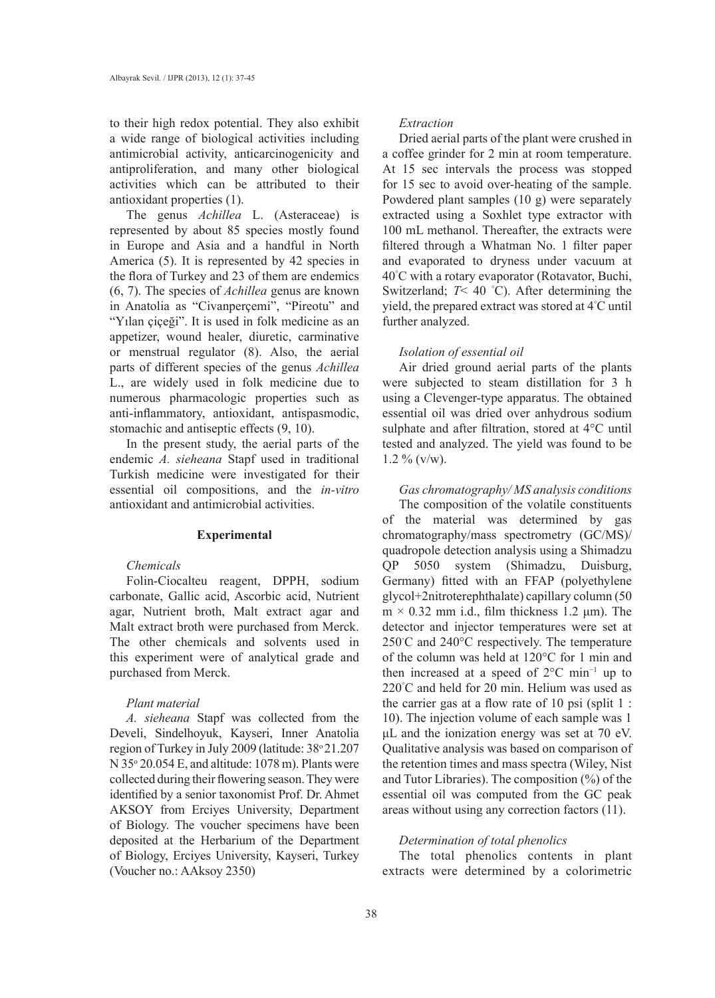to their high redox potential. They also exhibit a wide range of biological activities including antimicrobial activity, anticarcinogenicity and antiproliferation, and many other biological activities which can be attributed to their antioxidant properties (1).

The genus *Achillea* L. (Asteraceae) is represented by about 85 species mostly found in Europe and Asia and a handful in North America (5). It is represented by 42 species in the flora of Turkey and 23 of them are endemics (6, 7). The species of *Achillea* genus are known in Anatolia as "Civanperçemi", "Pireotu" and "Yılan çiçeği". It is used in folk medicine as an appetizer, wound healer, diuretic, carminative or menstrual regulator (8). Also, the aerial parts of different species of the genus *Achillea*  L., are widely used in folk medicine due to numerous pharmacologic properties such as anti-inflammatory, antioxidant, antispasmodic, stomachic and antiseptic effects (9, 10).

In the present study, the aerial parts of the endemic *A. sieheana* Stapf used in traditional Turkish medicine were investigated for their essential oil compositions, and the *in-vitro* antioxidant and antimicrobial activities.

#### **Experimental**

# *Chemicals*

Folin-Ciocalteu reagent, DPPH, sodium carbonate, Gallic acid, Ascorbic acid, Nutrient agar, Nutrient broth, Malt extract agar and Malt extract broth were purchased from Merck. The other chemicals and solvents used in this experiment were of analytical grade and purchased from Merck.

# *Plant material*

*A. sieheana* Stapf was collected from the Develi, Sindelhoyuk, Kayseri, Inner Anatolia region of Turkey in July 2009 (latitude: 38° 21.207  $N$  35 $\degree$  20.054 E, and altitude: 1078 m). Plants were collected during their flowering season. They were identified by a senior taxonomist Prof. Dr. Ahmet AKSOY from Erciyes University, Department of Biology. The voucher specimens have been deposited at the Herbarium of the Department of Biology, Erciyes University, Kayseri, Turkey (Voucher no.: AAksoy 2350)

#### *Extraction*

Dried aerial parts of the plant were crushed in a coffee grinder for 2 min at room temperature. At 15 sec intervals the process was stopped for 15 sec to avoid over-heating of the sample. Powdered plant samples (10 g) were separately extracted using a Soxhlet type extractor with 100 mL methanol. Thereafter, the extracts were filtered through a Whatman No. 1 filter paper and evaporated to dryness under vacuum at 40° C with a rotary evaporator (Rotavator, Buchi, Switzerland; *T*< 40 ° C). After determining the yield, the prepared extract was stored at 4° C until further analyzed.

#### *Isolation of essential oil*

Air dried ground aerial parts of the plants were subjected to steam distillation for 3 h using a Clevenger-type apparatus. The obtained essential oil was dried over anhydrous sodium sulphate and after filtration, stored at 4°C until tested and analyzed. The yield was found to be  $1.2 \%$  (v/w).

# *Gas chromatography/ MS analysis conditions*

The composition of the volatile constituents of the material was determined by gas chromatography/mass spectrometry (GC/MS)/ quadropole detection analysis using a Shimadzu QP 5050 system (Shimadzu, Duisburg, Germany) fitted with an FFAP (polyethylene glycol+2nitroterephthalate) capillary column (50  $m \times 0.32$  mm i.d., film thickness 1.2  $\mu$ m). The detector and injector temperatures were set at 250℃ and 240°C respectively. The temperature of the column was held at 120°C for 1 min and then increased at a speed of 2°C min−1 up to 220° C and held for 20 min. Helium was used as the carrier gas at a flow rate of 10 psi (split 1 : 10). The injection volume of each sample was 1 μL and the ionization energy was set at 70 eV. Qualitative analysis was based on comparison of the retention times and mass spectra (Wiley, Nist and Tutor Libraries). The composition (%) of the essential oil was computed from the GC peak areas without using any correction factors (11).

#### *Determination of total phenolics*

The total phenolics contents in plant extracts were determined by a colorimetric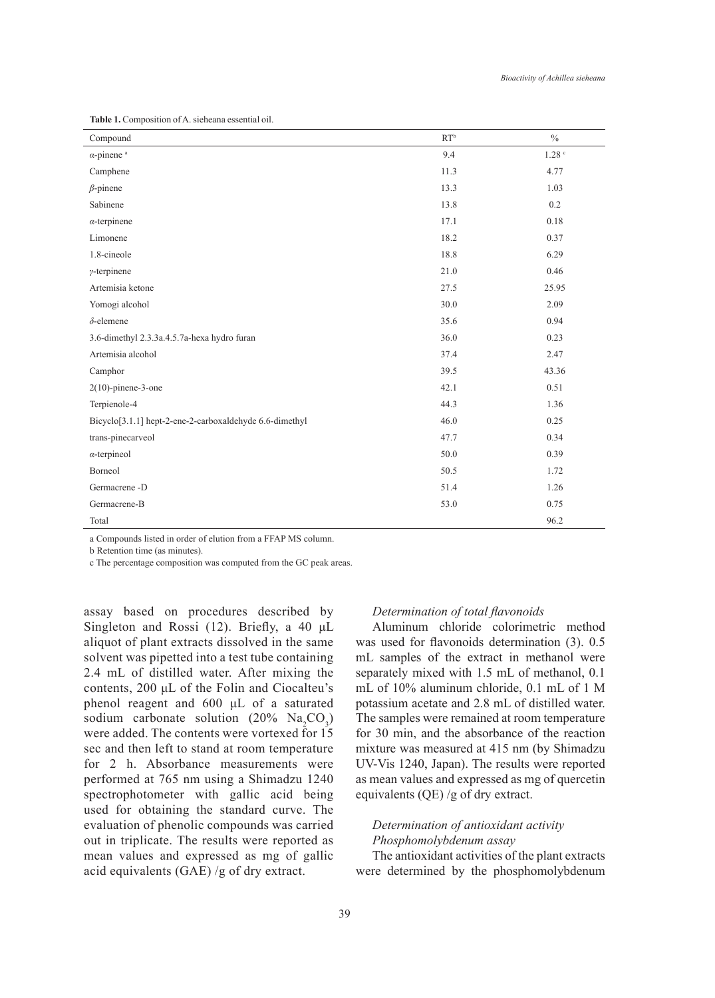| Compound                                                | RT <sup>b</sup> | $\frac{0}{0}$     |
|---------------------------------------------------------|-----------------|-------------------|
| $\alpha$ -pinene <sup>a</sup>                           | 9.4             | 1.28 <sup>c</sup> |
| Camphene                                                | 11.3            | 4.77              |
| $\beta$ -pinene                                         | 13.3            | 1.03              |
| Sabinene                                                | 13.8            | 0.2               |
| $\alpha$ -terpinene                                     | 17.1            | 0.18              |
| Limonene                                                | 18.2            | 0.37              |
| 1.8-cineole                                             | 18.8            | 6.29              |
| $\gamma$ -terpinene                                     | 21.0            | 0.46              |
| Artemisia ketone                                        | 27.5            | 25.95             |
| Yomogi alcohol                                          | 30.0            | 2.09              |
| $\delta$ -elemene                                       | 35.6            | 0.94              |
| 3.6-dimethyl 2.3.3a.4.5.7a-hexa hydro furan             | 36.0            | 0.23              |
| Artemisia alcohol                                       | 37.4            | 2.47              |
| Camphor                                                 | 39.5            | 43.36             |
| $2(10)$ -pinene-3-one                                   | 42.1            | 0.51              |
| Terpienole-4                                            | 44.3            | 1.36              |
| Bicyclo[3.1.1] hept-2-ene-2-carboxaldehyde 6.6-dimethyl | 46.0            | 0.25              |
| trans-pinecarveol                                       | 47.7            | 0.34              |
| $\alpha$ -terpineol                                     | 50.0            | 0.39              |
| Borneol                                                 | 50.5            | 1.72              |
| Germacrene -D                                           | 51.4            | 1.26              |
| Germacrene-B                                            | 53.0            | 0.75              |
| Total                                                   |                 | 96.2              |

**Table 1.** Composition of A. sieheana essential oil.

a Compounds listed in order of elution from a FFAP MS column.

b Retention time (as minutes).

c The percentage composition was computed from the GC peak areas.

assay based on procedures described by Singleton and Rossi (12). Briefly, a 40 μL aliquot of plant extracts dissolved in the same solvent was pipetted into a test tube containing 2.4 mL of distilled water. After mixing the contents, 200 μL of the Folin and Ciocalteu's phenol reagent and 600 μL of a saturated sodium carbonate solution  $(20\% \text{ Na}_2\text{CO}_3)$ were added. The contents were vortexed for 15 sec and then left to stand at room temperature for 2 h. Absorbance measurements were performed at 765 nm using a Shimadzu 1240 spectrophotometer with gallic acid being used for obtaining the standard curve. The evaluation of phenolic compounds was carried out in triplicate. The results were reported as mean values and expressed as mg of gallic acid equivalents (GAE) /g of dry extract.

#### *Determination of total flavonoids*

Aluminum chloride colorimetric method was used for flavonoids determination (3). 0.5 mL samples of the extract in methanol were separately mixed with 1.5 mL of methanol, 0.1 mL of 10% aluminum chloride, 0.1 mL of 1 M potassium acetate and 2.8 mL of distilled water. The samples were remained at room temperature for 30 min, and the absorbance of the reaction mixture was measured at 415 nm (by Shimadzu UV-Vis 1240, Japan). The results were reported as mean values and expressed as mg of quercetin equivalents (QE) /g of dry extract.

# *Determination of antioxidant activity Phosphomolybdenum assay*

The antioxidant activities of the plant extracts were determined by the phosphomolybdenum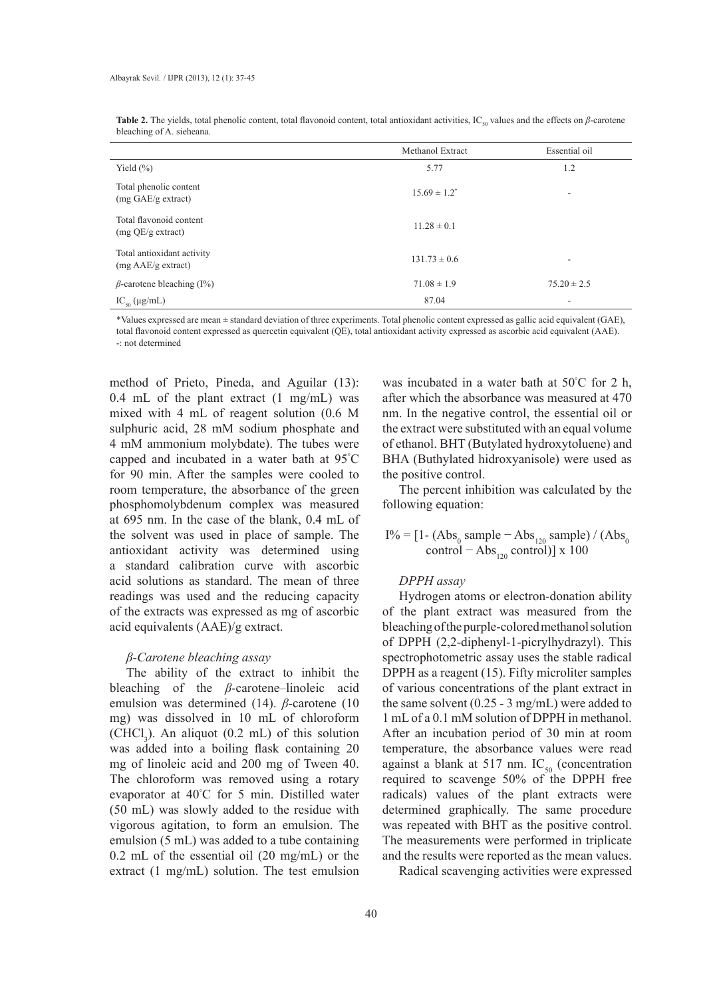|                                                  | Methanol Extract  | Essential oil   |
|--------------------------------------------------|-------------------|-----------------|
| Yield $(\% )$                                    | 5.77              | 1.2             |
| Total phenolic content<br>(mg GAE/g extract)     | $15.69 \pm 1.2^*$ | ٠               |
| Total flavonoid content<br>(mg QE/g extract)     | $11.28 \pm 0.1$   |                 |
| Total antioxidant activity<br>(mg AAE/g extract) | $131.73 \pm 0.6$  | ٠               |
| $\beta$ -carotene bleaching (I%)                 | $71.08 \pm 1.9$   | $75.20 \pm 2.5$ |
| $IC_{50} (\mu g/mL)$                             | 87.04             | ٠               |

Table 2. The yields, total phenolic content, total flavonoid content, total antioxidant activities, IC<sub>50</sub> values and the effects on *β*-carotene bleaching of A. sieheana.

\*Values expressed are mean ± standard deviation of three experiments. Total phenolic content expressed as gallic acid equivalent (GAE), total flavonoid content expressed as quercetin equivalent (QE), total antioxidant activity expressed as ascorbic acid equivalent (AAE). -: not determined

method of Prieto, Pineda, and Aguilar (13): 0.4 mL of the plant extract (1 mg/mL) was mixed with 4 mL of reagent solution (0.6 M sulphuric acid, 28 mM sodium phosphate and 4 mM ammonium molybdate). The tubes were capped and incubated in a water bath at 95° C for 90 min. After the samples were cooled to room temperature, the absorbance of the green phosphomolybdenum complex was measured at 695 nm. In the case of the blank, 0.4 mL of the solvent was used in place of sample. The antioxidant activity was determined using a standard calibration curve with ascorbic acid solutions as standard. The mean of three readings was used and the reducing capacity of the extracts was expressed as mg of ascorbic acid equivalents (AAE)/g extract.

#### *β-Carotene bleaching assay*

The ability of the extract to inhibit the bleaching of the *β*-carotene–linoleic acid emulsion was determined (14). *β*-carotene (10 mg) was dissolved in 10 mL of chloroform  $(CHCl<sub>3</sub>)$ . An aliquot  $(0.2 \text{ mL})$  of this solution was added into a boiling flask containing 20 mg of linoleic acid and 200 mg of Tween 40. The chloroform was removed using a rotary evaporator at 40° C for 5 min. Distilled water (50 mL) was slowly added to the residue with vigorous agitation, to form an emulsion. The emulsion (5 mL) was added to a tube containing 0.2 mL of the essential oil (20 mg/mL) or the extract (1 mg/mL) solution. The test emulsion

was incubated in a water bath at 50° C for 2 h, after which the absorbance was measured at 470 nm. In the negative control, the essential oil or the extract were substituted with an equal volume of ethanol. BHT (Butylated hydroxytoluene) and BHA (Buthylated hidroxyanisole) were used as the positive control.

The percent inhibition was calculated by the following equation:

# I% = [1 - (Abs<sub>0</sub> sample − Abs<sub>120</sub> sample) / (Abs<sub>0</sub> control – Abs<sub>120</sub> control)] x 100

#### *DPPH assay*

Hydrogen atoms or electron-donation ability of the plant extract was measured from the bleaching of the purple-colored methanol solution of DPPH (2,2-diphenyl-1-picrylhydrazyl). This spectrophotometric assay uses the stable radical DPPH as a reagent (15). Fifty microliter samples of various concentrations of the plant extract in the same solvent (0.25 - 3 mg/mL) were added to 1 mL of a 0.1 mM solution of DPPH in methanol. After an incubation period of 30 min at room temperature, the absorbance values were read against a blank at 517 nm.  $IC_{50}$  (concentration required to scavenge 50% of the DPPH free radicals) values of the plant extracts were determined graphically. The same procedure was repeated with BHT as the positive control. The measurements were performed in triplicate and the results were reported as the mean values.

Radical scavenging activities were expressed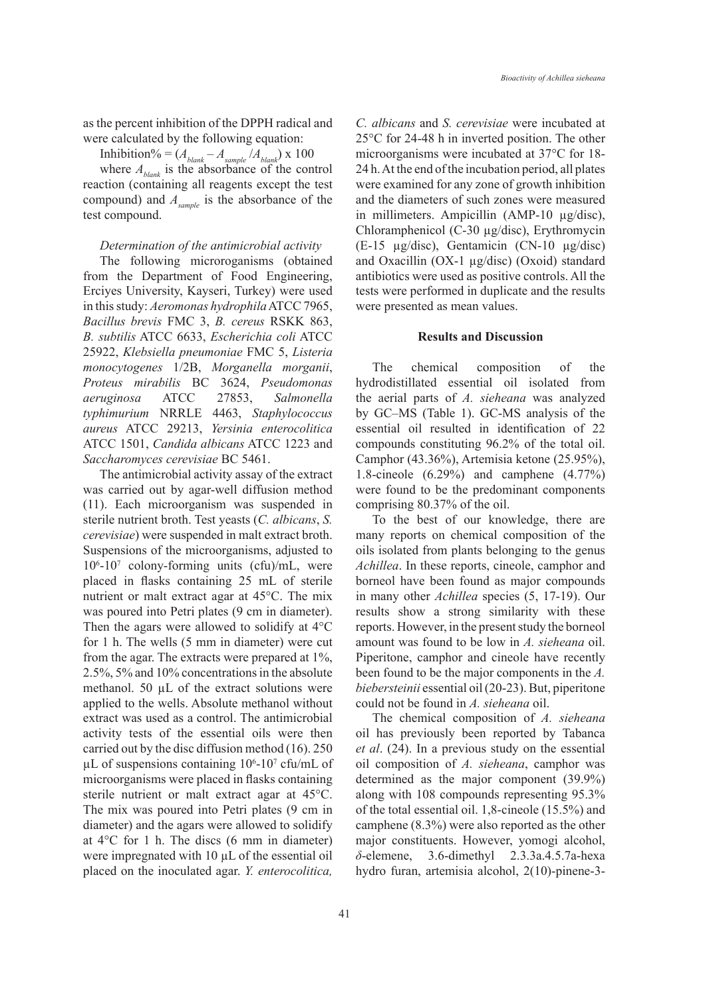as the percent inhibition of the DPPH radical and were calculated by the following equation:

Inhibition% =  $(A_{blank} - A_{sample} / A_{blank}) \times 100$ where  $A_{\text{blank}}$  is the absorbance of the control reaction (containing all reagents except the test compound) and *Asample* is the absorbance of the test compound.

#### *Determination of the antimicrobial activity*

The following microroganisms (obtained from the Department of Food Engineering, Erciyes University, Kayseri, Turkey) were used in this study: *Aeromonas hydrophila* ATCC 7965, *Bacillus brevis* FMC 3, *B. cereus* RSKK 863, *B. subtilis* ATCC 6633, *Escherichia coli* ATCC 25922, *Klebsiella pneumoniae* FMC 5, *Listeria monocytogenes* 1/2B, *Morganella morganii*, *Proteus mirabilis* BC 3624, *Pseudomonas aeruginosa* ATCC 27853, *Salmonella typhimurium* NRRLE 4463, *Staphylococcus aureus* ATCC 29213, *Yersinia enterocolitica*  ATCC 1501, *Candida albicans* ATCC 1223 and *Saccharomyces cerevisiae* BC 5461.

The antimicrobial activity assay of the extract was carried out by agar-well diffusion method (11). Each microorganism was suspended in sterile nutrient broth. Test yeasts (*C. albicans*, *S. cerevisiae*) were suspended in malt extract broth. Suspensions of the microorganisms, adjusted to 106 -107 colony-forming units (cfu)/mL, were placed in flasks containing 25 mL of sterile nutrient or malt extract agar at 45°C. The mix was poured into Petri plates (9 cm in diameter). Then the agars were allowed to solidify at 4°C for 1 h. The wells (5 mm in diameter) were cut from the agar. The extracts were prepared at 1%, 2.5%, 5% and 10% concentrations in the absolute methanol. 50 µL of the extract solutions were applied to the wells. Absolute methanol without extract was used as a control. The antimicrobial activity tests of the essential oils were then carried out by the disc diffusion method (16). 250  $\mu$ L of suspensions containing 10<sup>6</sup>-10<sup>7</sup> cfu/mL of microorganisms were placed in flasks containing sterile nutrient or malt extract agar at 45°C. The mix was poured into Petri plates (9 cm in diameter) and the agars were allowed to solidify at  $4^{\circ}$ C for 1 h. The discs (6 mm in diameter) were impregnated with 10  $\mu$ L of the essential oil placed on the inoculated agar. *Y. enterocolitica,* 

*C. albicans* and *S. cerevisiae* were incubated at 25°C for 24-48 h in inverted position. The other microorganisms were incubated at 37°C for 18- 24 h. At the end of the incubation period, all plates were examined for any zone of growth inhibition and the diameters of such zones were measured in millimeters. Ampicillin (AMP-10 µg/disc), Chloramphenicol (C-30 µg/disc), Erythromycin (E-15 µg/disc), Gentamicin (CN-10 µg/disc) and Oxacillin (OX-1 µg/disc) (Oxoid) standard antibiotics were used as positive controls. All the tests were performed in duplicate and the results were presented as mean values.

#### **Results and Discussion**

The chemical composition of the hydrodistillated essential oil isolated from the aerial parts of *A. sieheana* was analyzed by GC–MS (Table 1). GC-MS analysis of the essential oil resulted in identification of 22 compounds constituting 96.2% of the total oil. Camphor (43.36%), Artemisia ketone (25.95%), 1.8-cineole (6.29%) and camphene (4.77%) were found to be the predominant components comprising 80.37% of the oil.

To the best of our knowledge, there are many reports on chemical composition of the oils isolated from plants belonging to the genus *Achillea*. In these reports, cineole, camphor and borneol have been found as major compounds in many other *Achillea* species (5, 17-19). Our results show a strong similarity with these reports. However, in the present study the borneol amount was found to be low in *A. sieheana* oil. Piperitone, camphor and cineole have recently been found to be the major components in the *A. biebersteinii* essential oil (20-23). But, piperitone could not be found in *A. sieheana* oil.

The chemical composition of *A. sieheana* oil has previously been reported by Tabanca *et al*. (24). In a previous study on the essential oil composition of *A. sieheana*, camphor was determined as the major component (39.9%) along with 108 compounds representing 95.3% of the total essential oil. 1,8-cineole (15.5%) and camphene (8.3%) were also reported as the other major constituents. However, yomogi alcohol, *δ*-elemene, 3.6-dimethyl 2.3.3a.4.5.7a-hexa hydro furan, artemisia alcohol, 2(10)-pinene-3-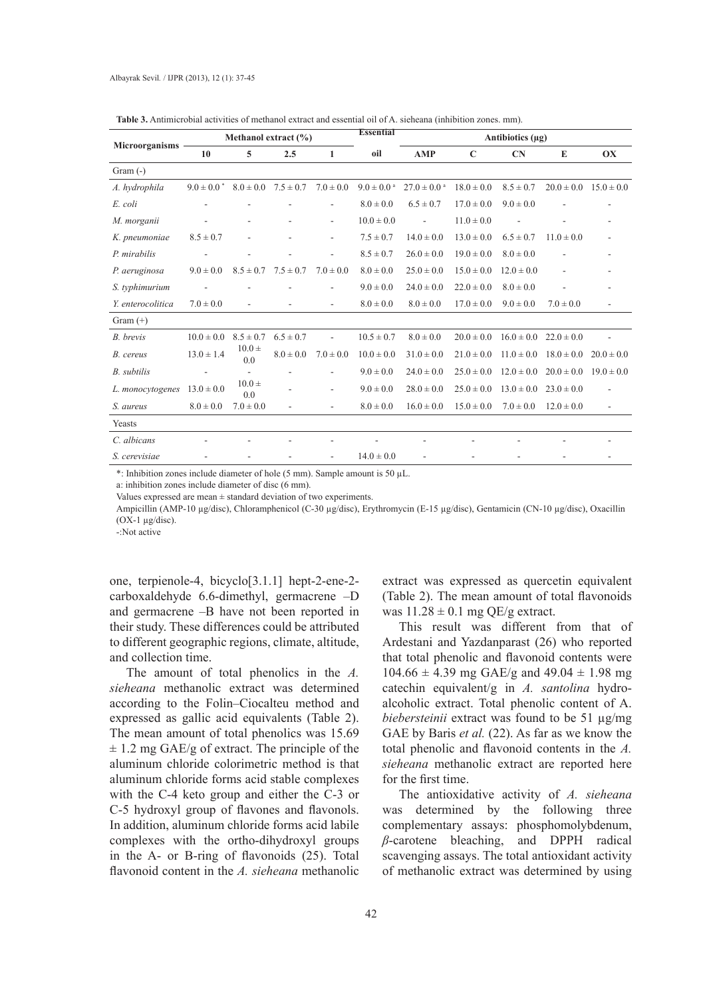| Microorganisms     | Methanol extract $(\% )$ |                   |                             | <b>Essential</b>         | Antibiotics (µg)           |                             |                |                |                |                          |
|--------------------|--------------------------|-------------------|-----------------------------|--------------------------|----------------------------|-----------------------------|----------------|----------------|----------------|--------------------------|
|                    | 10                       | 5                 | 2.5                         | $\mathbf{1}$             | oil                        | <b>AMP</b>                  | $\mathbf C$    | CN             | E              | OX                       |
| Gram $(-)$         |                          |                   |                             |                          |                            |                             |                |                |                |                          |
| A. hydrophila      | $9.0 \pm 0.0^*$          |                   | $8.0 \pm 0.0$ $7.5 \pm 0.7$ | $7.0 \pm 0.0$            | $9.0 \pm 0.0$ <sup>a</sup> | $27.0 \pm 0.0$ <sup>a</sup> | $18.0 \pm 0.0$ | $8.5 \pm 0.7$  | $20.0 \pm 0.0$ | $15.0 \pm 0.0$           |
| E. coli            |                          |                   |                             |                          | $8.0 \pm 0.0$              | $6.5 \pm 0.7$               | $17.0 \pm 0.0$ | $9.0 \pm 0.0$  |                |                          |
| M. morganii        |                          |                   |                             | Ξ.                       | $10.0 \pm 0.0$             | $\overline{\phantom{a}}$    | $11.0 \pm 0.0$ |                |                |                          |
| K. pneumoniae      | $8.5 \pm 0.7$            | ä,                |                             | ۰                        | $7.5 \pm 0.7$              | $14.0 \pm 0.0$              | $13.0 \pm 0.0$ | $6.5 \pm 0.7$  | $11.0 \pm 0.0$ |                          |
| P. mirabilis       |                          |                   |                             |                          | $8.5 \pm 0.7$              | $26.0 \pm 0.0$              | $19.0 \pm 0.0$ | $8.0 \pm 0.0$  |                |                          |
| P. aeruginosa      | $9.0 \pm 0.0$            | $8.5 \pm 0.7$     | $7.5 \pm 0.7$               | $7.0 \pm 0.0$            | $8.0 \pm 0.0$              | $25.0 \pm 0.0$              | $15.0 \pm 0.0$ | $12.0 \pm 0.0$ |                |                          |
| S. typhimurium     |                          |                   |                             | ٠                        | $9.0 \pm 0.0$              | $24.0 \pm 0.0$              | $22.0 \pm 0.0$ | $8.0 \pm 0.0$  |                |                          |
| Y. enterocolitica  | $7.0 \pm 0.0$            |                   |                             | ٠                        | $8.0 \pm 0.0$              | $8.0 \pm 0.0$               | $17.0 \pm 0.0$ | $9.0 \pm 0.0$  | $7.0 \pm 0.0$  |                          |
| Gram $(+)$         |                          |                   |                             |                          |                            |                             |                |                |                |                          |
| B. brevis          | $10.0 \pm 0.0$           | $8.5 \pm 0.7$     | $6.5 \pm 0.7$               |                          | $10.5 \pm 0.7$             | $8.0 \pm 0.0$               | $20.0 \pm 0.0$ | $16.0 \pm 0.0$ | $22.0 \pm 0.0$ |                          |
| B. cereus          | $13.0 \pm 1.4$           | $10.0 \pm$<br>0.0 | $8.0 \pm 0.0$               | $7.0 \pm 0.0$            | $10.0 \pm 0.0$             | $31.0 \pm 0.0$              | $21.0 \pm 0.0$ | $11.0 \pm 0.0$ | $18.0 \pm 0.0$ | $20.0 \pm 0.0$           |
| <b>B.</b> subtilis |                          | $\overline{a}$    |                             |                          | $9.0 \pm 0.0$              | $24.0 \pm 0.0$              | $25.0 \pm 0.0$ | $12.0 \pm 0.0$ | $20.0 \pm 0.0$ | $19.0 \pm 0.0$           |
| L. monocytogenes   | $13.0 \pm 0.0$           | $10.0 \pm$<br>0.0 |                             | ٠                        | $9.0 \pm 0.0$              | $28.0 \pm 0.0$              | $25.0 \pm 0.0$ | $13.0 \pm 0.0$ | $23.0 \pm 0.0$ |                          |
| S. aureus          | $8.0 \pm 0.0$            | $7.0 \pm 0.0$     | $\overline{\phantom{a}}$    | $\overline{\phantom{0}}$ | $8.0 \pm 0.0$              | $16.0 \pm 0.0$              | $15.0 \pm 0.0$ | $7.0 \pm 0.0$  | $12.0 \pm 0.0$ | $\overline{\phantom{a}}$ |
| Yeasts             |                          |                   |                             |                          |                            |                             |                |                |                |                          |
| C. albicans        |                          |                   |                             |                          |                            |                             |                |                |                |                          |
| S. cerevisiae      |                          |                   |                             |                          | $14.0 \pm 0.0$             |                             |                |                |                |                          |

**Table 3.** Antimicrobial activities of methanol extract and essential oil of A. sieheana (inhibition zones. mm).

\*: Inhibition zones include diameter of hole (5 mm). Sample amount is 50 µL.

a: inhibition zones include diameter of disc (6 mm).

Values expressed are mean  $\pm$  standard deviation of two experiments.

Ampicillin (AMP-10 µg/disc), Chloramphenicol (C-30 µg/disc), Erythromycin (E-15 µg/disc), Gentamicin (CN-10 µg/disc), Oxacillin  $(OX-1 \mu \varrho / \text{disc}).$ 

-:Not active

one, terpienole-4, bicyclo[3.1.1] hept-2-ene-2 carboxaldehyde 6.6-dimethyl, germacrene –D and germacrene –B have not been reported in their study. These differences could be attributed to different geographic regions, climate, altitude, and collection time.

The amount of total phenolics in the *A. sieheana* methanolic extract was determined according to the Folin–Ciocalteu method and expressed as gallic acid equivalents (Table 2). The mean amount of total phenolics was 15.69  $\pm$  1.2 mg GAE/g of extract. The principle of the aluminum chloride colorimetric method is that aluminum chloride forms acid stable complexes with the C-4 keto group and either the C-3 or C-5 hydroxyl group of flavones and flavonols. In addition, aluminum chloride forms acid labile complexes with the ortho-dihydroxyl groups in the A- or B-ring of flavonoids (25). Total flavonoid content in the *A. sieheana* methanolic

extract was expressed as quercetin equivalent (Table 2). The mean amount of total flavonoids was  $11.28 \pm 0.1$  mg QE/g extract.

This result was different from that of Ardestani and Yazdanparast (26) who reported that total phenolic and flavonoid contents were  $104.66 \pm 4.39$  mg GAE/g and  $49.04 \pm 1.98$  mg catechin equivalent/g in *A. santolina* hydroalcoholic extract. Total phenolic content of A. *biebersteinii* extract was found to be 51 µg/mg GAE by Baris *et al.* (22). As far as we know the total phenolic and flavonoid contents in the *A. sieheana* methanolic extract are reported here for the first time.

The antioxidative activity of *A. sieheana* was determined by the following three complementary assays: phosphomolybdenum, *β*-carotene bleaching, and DPPH radical scavenging assays. The total antioxidant activity of methanolic extract was determined by using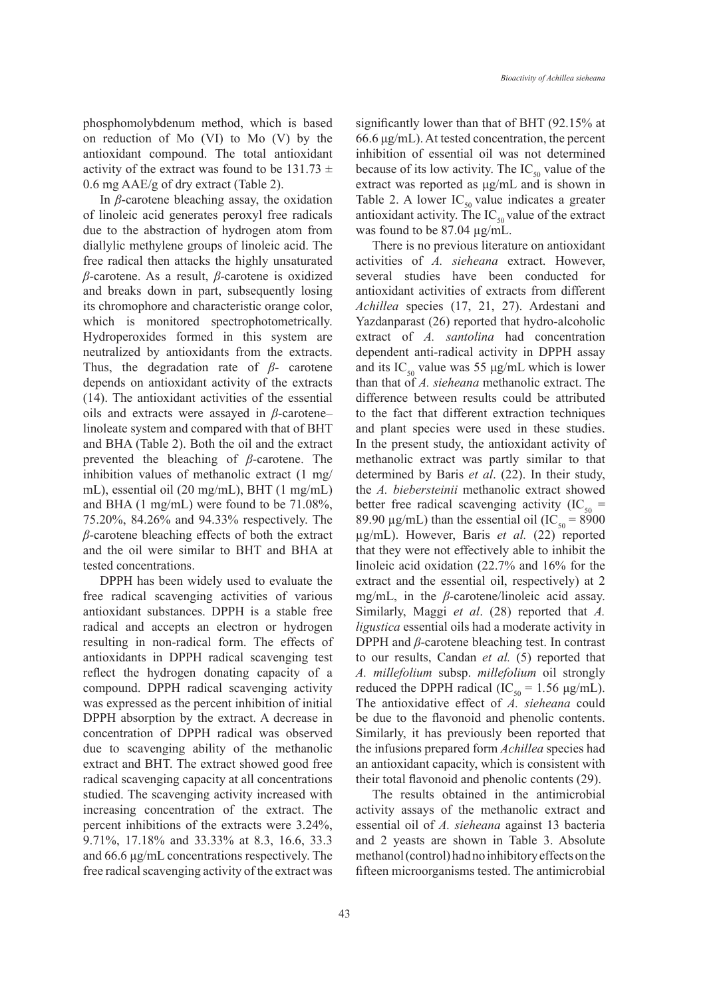phosphomolybdenum method, which is based on reduction of Mo (VI) to Mo (V) by the antioxidant compound. The total antioxidant activity of the extract was found to be 131.73  $\pm$ 0.6 mg AAE/g of dry extract (Table 2).

In *β*-carotene bleaching assay, the oxidation of linoleic acid generates peroxyl free radicals due to the abstraction of hydrogen atom from diallylic methylene groups of linoleic acid. The free radical then attacks the highly unsaturated *β*-carotene. As a result, *β*-carotene is oxidized and breaks down in part, subsequently losing its chromophore and characteristic orange color, which is monitored spectrophotometrically. Hydroperoxides formed in this system are neutralized by antioxidants from the extracts. Thus, the degradation rate of *β*- carotene depends on antioxidant activity of the extracts (14). The antioxidant activities of the essential oils and extracts were assayed in *β*-carotene– linoleate system and compared with that of BHT and BHA (Table 2). Both the oil and the extract prevented the bleaching of *β*-carotene. The inhibition values of methanolic extract (1 mg/ mL), essential oil (20 mg/mL), BHT (1 mg/mL) and BHA (1 mg/mL) were found to be 71.08%, 75.20%, 84.26% and 94.33% respectively. The *β*-carotene bleaching effects of both the extract and the oil were similar to BHT and BHA at tested concentrations.

DPPH has been widely used to evaluate the free radical scavenging activities of various antioxidant substances. DPPH is a stable free radical and accepts an electron or hydrogen resulting in non-radical form. The effects of antioxidants in DPPH radical scavenging test reflect the hydrogen donating capacity of a compound. DPPH radical scavenging activity was expressed as the percent inhibition of initial DPPH absorption by the extract. A decrease in concentration of DPPH radical was observed due to scavenging ability of the methanolic extract and BHT. The extract showed good free radical scavenging capacity at all concentrations studied. The scavenging activity increased with increasing concentration of the extract. The percent inhibitions of the extracts were 3.24%, 9.71%, 17.18% and 33.33% at 8.3, 16.6, 33.3 and 66.6 μg/mL concentrations respectively. The free radical scavenging activity of the extract was

significantly lower than that of BHT (92.15% at 66.6 μg/mL). At tested concentration, the percent inhibition of essential oil was not determined because of its low activity. The  $IC_{50}$  value of the extract was reported as μg/mL and is shown in Table 2. A lower  $IC_{50}$  value indicates a greater antioxidant activity. The IC<sub>50</sub> value of the extract was found to be 87.04 µg/mL.

There is no previous literature on antioxidant activities of *A. sieheana* extract. However, several studies have been conducted for antioxidant activities of extracts from different *Achillea* species (17, 21, 27). Ardestani and Yazdanparast (26) reported that hydro-alcoholic extract of *A. santolina* had concentration dependent anti-radical activity in DPPH assay and its IC<sub>50</sub> value was 55  $\mu$ g/mL which is lower than that of *A. sieheana* methanolic extract. The difference between results could be attributed to the fact that different extraction techniques and plant species were used in these studies. In the present study, the antioxidant activity of methanolic extract was partly similar to that determined by Baris *et al*. (22). In their study, the *A. biebersteinii* methanolic extract showed better free radical scavenging activity (IC<sub>50</sub> = 89.90  $\mu$ g/mL) than the essential oil (IC<sub>50</sub> = 8900 µg/mL). However, Baris *et al.* (22) reported that they were not effectively able to inhibit the linoleic acid oxidation (22.7% and 16% for the extract and the essential oil, respectively) at 2 mg/mL, in the *β*-carotene/linoleic acid assay. Similarly, Maggi *et al*. (28) reported that *A. ligustica* essential oils had a moderate activity in DPPH and *β*-carotene bleaching test. In contrast to our results, Candan *et al.* (5) reported that *A. millefolium* subsp. *millefolium* oil strongly reduced the DPPH radical (IC<sub>50</sub> = 1.56  $\mu$ g/mL). The antioxidative effect of *A. sieheana* could be due to the flavonoid and phenolic contents. Similarly, it has previously been reported that the infusions prepared form *Achillea* species had an antioxidant capacity, which is consistent with their total flavonoid and phenolic contents (29).

The results obtained in the antimicrobial activity assays of the methanolic extract and essential oil of *A. sieheana* against 13 bacteria and 2 yeasts are shown in Table 3. Absolute methanol (control) had no inhibitory effects on the fifteen microorganisms tested. The antimicrobial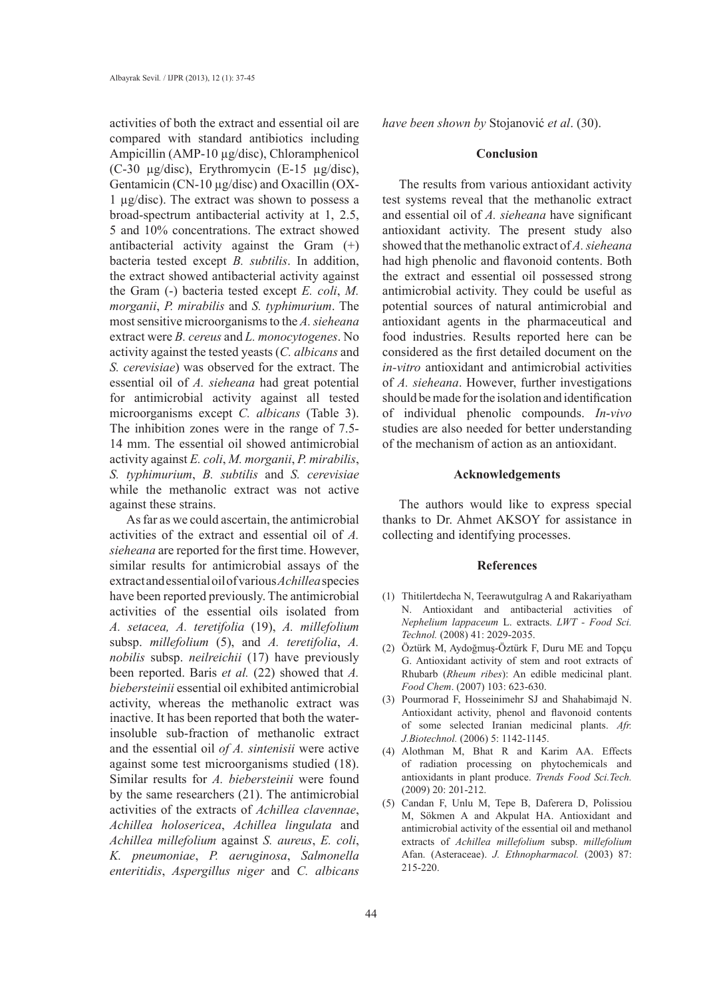activities of both the extract and essential oil are compared with standard antibiotics including Ampicillin (AMP-10 µg/disc), Chloramphenicol (C-30 µg/disc), Erythromycin (E-15 µg/disc), Gentamicin (CN-10 µg/disc) and Oxacillin (OX-1 µg/disc). The extract was shown to possess a broad-spectrum antibacterial activity at 1, 2.5, 5 and 10% concentrations. The extract showed antibacterial activity against the Gram (+) bacteria tested except *B. subtilis*. In addition, the extract showed antibacterial activity against the Gram (-) bacteria tested except *E. coli*, *M. morganii*, *P. mirabilis* and *S. typhimurium*. The most sensitive microorganisms to the *A. sieheana* extract were *B. cereus* and *L. monocytogenes*. No activity against the tested yeasts (*C. albicans* and *S. cerevisiae*) was observed for the extract. The essential oil of *A. sieheana* had great potential for antimicrobial activity against all tested microorganisms except *C. albicans* (Table 3). The inhibition zones were in the range of 7.5- 14 mm. The essential oil showed antimicrobial activity against *E. coli*, *M. morganii*, *P. mirabilis*, *S. typhimurium*, *B. subtilis* and *S. cerevisiae* while the methanolic extract was not active against these strains.

As far as we could ascertain, the antimicrobial activities of the extract and essential oil of *A. sieheana* are reported for the first time. However, similar results for antimicrobial assays of the extract and essential oil of various *Achillea* species have been reported previously. The antimicrobial activities of the essential oils isolated from *A. setacea, A. teretifolia* (19), *A. millefolium*  subsp. *millefolium* (5), and *A. teretifolia*, *A. nobilis* subsp. *neilreichii* (17) have previously been reported. Baris *et al.* (22) showed that *A. biebersteinii* essential oil exhibited antimicrobial activity, whereas the methanolic extract was inactive. It has been reported that both the waterinsoluble sub-fraction of methanolic extract and the essential oil *of A. sintenisii* were active against some test microorganisms studied (18). Similar results for *A. biebersteinii* were found by the same researchers (21). The antimicrobial activities of the extracts of *Achillea clavennae*, *Achillea holosericea*, *Achillea lingulata* and *Achillea millefolium* against *S. aureus*, *E. coli*, *K. pneumoniae*, *P. aeruginosa*, *Salmonella enteritidis*, *Aspergillus niger* and *C. albicans* 

*have been shown by* Stojanović *et al*. (30).

# **Conclusion**

The results from various antioxidant activity test systems reveal that the methanolic extract and essential oil of *A. sieheana* have significant antioxidant activity. The present study also showed that the methanolic extract of *A. sieheana*  had high phenolic and flavonoid contents. Both the extract and essential oil possessed strong antimicrobial activity. They could be useful as potential sources of natural antimicrobial and antioxidant agents in the pharmaceutical and food industries. Results reported here can be considered as the first detailed document on the *in-vitro* antioxidant and antimicrobial activities of *A. sieheana*. However, further investigations should be made for the isolation and identification of individual phenolic compounds. *In*-*vivo* studies are also needed for better understanding of the mechanism of action as an antioxidant.

#### **Acknowledgements**

The authors would like to express special thanks to Dr. Ahmet AKSOY for assistance in collecting and identifying processes.

#### **References**

- Thitilertdecha N, Teerawutgulrag A and Rakariyatham (1) N. Antioxidant and antibacterial activities of *Nephelium lappaceum* L. extracts. *LWT - Food Sci. Technol.* (2008) 41: 2029-2035.
- Öztürk M, Aydoğmuş-Öztürk F, Duru ME and Topçu (2) G. Antioxidant activity of stem and root extracts of Rhubarb (*Rheum ribes*): An edible medicinal plant. *Food Chem*. (2007) 103: 623-630.
- Pourmorad F, Hosseinimehr SJ and Shahabimajd N. (3) Antioxidant activity, phenol and flavonoid contents of some selected Iranian medicinal plants. *Afr. J.Biotechnol.* (2006) 5: 1142-1145.
- Alothman M, Bhat R and Karim AA. Effects (4) of radiation processing on phytochemicals and antioxidants in plant produce. *Trends Food Sci.Tech.* (2009) 20: 201-212.
- Candan F, Unlu M, Tepe B, Daferera D, Polissiou (5) M, Sökmen A and Akpulat HA. Antioxidant and antimicrobial activity of the essential oil and methanol extracts of *Achillea millefolium* subsp. *millefolium*  Afan. (Asteraceae). *J. Ethnopharmacol.* (2003) 87: 215-220.